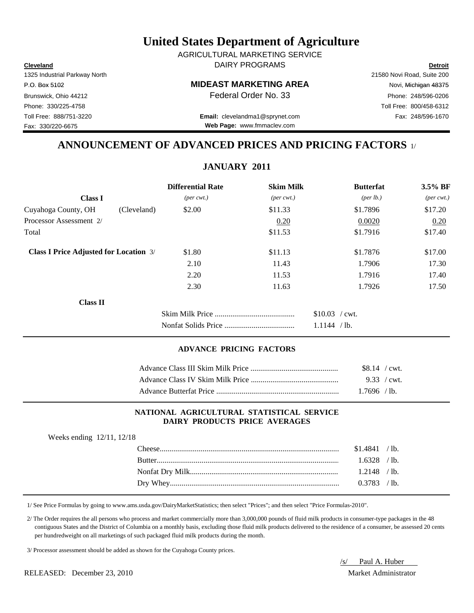**Cleveland Detroit** DAIRY PROGRAMS AGRICULTURAL MARKETING SERVICE

#### P.O. Box 5102 Novi, Michigan 48375

Toll Free: 888/751-3220 Fax: 248/596-1670 **Email:** clevelandma1@sprynet.com **Web Page:** www.fmmaclev.com

## **ANNOUNCEMENT OF ADVANCED PRICES AND PRICING FACTORS** 1/

## **JANUARY 2011**

|                                               |             | <b>Differential Rate</b>    | <b>Skim Milk</b>            | <b>Butterfat</b>                | $3.5\%$ BF                  |
|-----------------------------------------------|-------------|-----------------------------|-----------------------------|---------------------------------|-----------------------------|
| <b>Class I</b>                                |             | $(\text{per} \text{ cwt.})$ | $(\text{per} \text{ cwt.})$ | ${\rm (per \, lb.)}$            | $(\text{per} \text{ cwt.})$ |
| Cuyahoga County, OH                           | (Cleveland) | \$2.00                      | \$11.33                     | \$1.7896                        | \$17.20                     |
| Processor Assessment 2/                       |             |                             | 0.20                        | 0.0020                          | 0.20                        |
| Total                                         |             |                             | \$11.53                     | \$1.7916                        | \$17.40                     |
| <b>Class I Price Adjusted for Location 3/</b> |             | \$1.80                      | \$11.13                     | \$1.7876                        | \$17.00                     |
|                                               |             | 2.10                        | 11.43                       | 1.7906                          | 17.30                       |
|                                               |             | 2.20                        | 11.53                       | 1.7916                          | 17.40                       |
|                                               |             | 2.30                        | 11.63                       | 1.7926                          | 17.50                       |
| <b>Class II</b>                               |             |                             |                             |                                 |                             |
|                                               |             |                             |                             | $$10.03$ / cwt.<br>1.1144 / lb. |                             |

#### **ADVANCE PRICING FACTORS**

| $$8.14$ / cwt.<br>$1.7696$ / lb. |
|----------------------------------|
| $9.33 / \text{cwt}$ .            |
|                                  |

#### **NATIONAL AGRICULTURAL STATISTICAL SERVICE DAIRY PRODUCTS PRICE AVERAGES**

| Weeks ending 12/11, 12/18 |  |  |
|---------------------------|--|--|
|---------------------------|--|--|

| $1.6328$ /lb. |  |
|---------------|--|
|               |  |
|               |  |
|               |  |

1/ See Price Formulas by going to www.ams.usda.gov/DairyMarketStatistics; then select "Prices"; and then select "Price Formulas-2010".

 2/ The Order requires the all persons who process and market commercially more than 3,000,000 pounds of fluid milk products in consumer-type packages in the 48 contiguous States and the District of Columbia on a monthly basis, excluding those fluid milk products delivered to the residence of a consumer, be assessed 20 cents per hundredweight on all marketings of such packaged fluid milk products during the month.

3/ Processor assessment should be added as shown for the Cuyahoga County prices.

/s/ Paul A. Huber

1325 Industrial Parkway North 21580 Novi Road, Suite 200 Brunswick, Ohio 44212 **Phone: 248/596-0206 Federal Order No. 33** Phone: 248/596-0206 Phone: 330/225-4758 Toll Free: 800/458-6312

Fax: 330/220-6675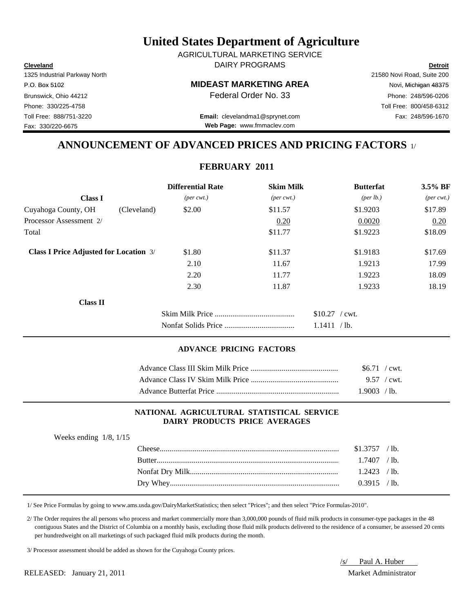**Cleveland Detroit** DAIRY PROGRAMS AGRICULTURAL MARKETING SERVICE

#### P.O. Box 5102 Novi, Michigan 48375

Toll Free: 888/751-3220 Fax: 248/596-1670 **Email:** clevelandma1@sprynet.com **Web Page:** www.fmmaclev.com

## **ANNOUNCEMENT OF ADVANCED PRICES AND PRICING FACTORS** 1/

## **FEBRUARY 2011**

|                                               |             | <b>Differential Rate</b>    | <b>Skim Milk</b>            | <b>Butterfat</b>                | $3.5\%$ BF                  |
|-----------------------------------------------|-------------|-----------------------------|-----------------------------|---------------------------------|-----------------------------|
| <b>Class I</b>                                |             | $(\text{per} \text{ cwt.})$ | $(\text{per} \text{ cwt.})$ | ${\rm (per \, lb.)}$            | $(\text{per} \text{ cwt.})$ |
| Cuyahoga County, OH                           | (Cleveland) | \$2.00                      | \$11.57                     | \$1.9203                        | \$17.89                     |
| Processor Assessment 2/                       |             |                             | 0.20                        | 0.0020                          | 0.20                        |
| Total                                         |             |                             | \$11.77                     | \$1.9223                        | \$18.09                     |
| <b>Class I Price Adjusted for Location 3/</b> |             | \$1.80                      | \$11.37                     | \$1.9183                        | \$17.69                     |
|                                               |             | 2.10                        | 11.67                       | 1.9213                          | 17.99                       |
|                                               |             | 2.20                        | 11.77                       | 1.9223                          | 18.09                       |
|                                               |             | 2.30                        | 11.87                       | 1.9233                          | 18.19                       |
| <b>Class II</b>                               |             |                             |                             |                                 |                             |
|                                               |             |                             |                             | $$10.27$ / cwt.<br>1.1411 / lb. |                             |

#### **ADVANCE PRICING FACTORS**

| $$6.71$ / cwt. |  |
|----------------|--|
|                |  |
| $1.9003$ / lb. |  |

#### **NATIONAL AGRICULTURAL STATISTICAL SERVICE DAIRY PRODUCTS PRICE AVERAGES**

| Weeks ending $1/8$ , $1/15$ |                  |                |  |
|-----------------------------|------------------|----------------|--|
|                             | $\text{Cheese}.$ | $$1.3757$ /lb. |  |
|                             |                  | $1.7407$ /lb.  |  |
|                             |                  | $1.2423$ /lb.  |  |
|                             |                  | $0.3915$ /lb.  |  |
|                             |                  |                |  |

1/ See Price Formulas by going to www.ams.usda.gov/DairyMarketStatistics; then select "Prices"; and then select "Price Formulas-2010".

 2/ The Order requires the all persons who process and market commercially more than 3,000,000 pounds of fluid milk products in consumer-type packages in the 48 contiguous States and the District of Columbia on a monthly basis, excluding those fluid milk products delivered to the residence of a consumer, be assessed 20 cents per hundredweight on all marketings of such packaged fluid milk products during the month.

3/ Processor assessment should be added as shown for the Cuyahoga County prices.

RELEASED: January 21, 2011 Market Administrator

/s/ Paul A. Huber

1325 Industrial Parkway North 21580 Novi Road, Suite 200 Fax: 330/220-6675

Brunswick, Ohio 44212 **Phone: 248/596-0206 Federal Order No. 33** Phone: 248/596-0206 Phone: 330/225-4758 Toll Free: 800/458-6312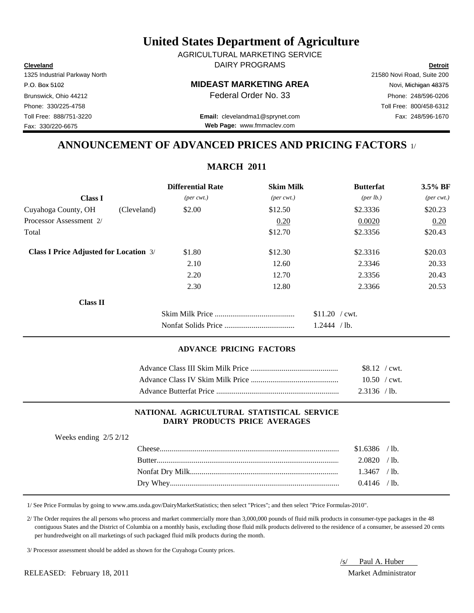**Cleveland Detroit** DAIRY PROGRAMS AGRICULTURAL MARKETING SERVICE

#### P.O. Box 5102 Novi, Michigan 48375

Toll Free: 888/751-3220 Fax: 248/596-1670 **Email:** clevelandma1@sprynet.com **Web Page:** www.fmmaclev.com

## **ANNOUNCEMENT OF ADVANCED PRICES AND PRICING FACTORS** 1/

**MARCH 2011**

|                                               |             | <b>Differential Rate</b>    | <b>Skim Milk</b>            | <b>Butterfat</b>     | $3.5\%$ BF                  |
|-----------------------------------------------|-------------|-----------------------------|-----------------------------|----------------------|-----------------------------|
| <b>Class I</b>                                |             | $(\text{per} \text{ cwt.})$ | $(\text{per} \text{ cwt.})$ | ${\rm (per \, lb.)}$ | $(\text{per} \text{ cwt.})$ |
| Cuyahoga County, OH                           | (Cleveland) | \$2.00                      | \$12.50                     | \$2.3336             | \$20.23                     |
| Processor Assessment 2/                       |             |                             | 0.20                        | 0.0020               | 0.20                        |
| Total                                         |             |                             | \$12.70                     | \$2.3356             | \$20.43                     |
| <b>Class I Price Adjusted for Location 3/</b> |             | \$1.80                      | \$12.30                     | \$2.3316             | \$20.03                     |
|                                               |             | 2.10                        | 12.60                       | 2.3346               | 20.33                       |
|                                               |             | 2.20                        | 12.70                       | 2.3356               | 20.43                       |
|                                               |             | 2.30                        | 12.80                       | 2.3366               | 20.53                       |
| <b>Class II</b>                               |             |                             |                             |                      |                             |
|                                               |             |                             |                             | $$11.20$ / cwt.      |                             |
|                                               |             |                             |                             | 1.2444 / lb.         |                             |

#### **ADVANCE PRICING FACTORS**

| $$8.12$ / cwt. |
|----------------|
| $10.50$ / cwt. |
| 2.3136 / lb.   |

#### **NATIONAL AGRICULTURAL STATISTICAL SERVICE DAIRY PRODUCTS PRICE AVERAGES**

| Weeks ending $2/5$ 2/12 |                |  |
|-------------------------|----------------|--|
|                         | $$1.6386$ /lb. |  |
|                         | $2.0820$ /lb.  |  |
|                         | $1.3467$ /lb.  |  |
|                         | $0.4146$ /lb.  |  |
|                         |                |  |

1/ See Price Formulas by going to www.ams.usda.gov/DairyMarketStatistics; then select "Prices"; and then select "Price Formulas-2010".

 2/ The Order requires the all persons who process and market commercially more than 3,000,000 pounds of fluid milk products in consumer-type packages in the 48 contiguous States and the District of Columbia on a monthly basis, excluding those fluid milk products delivered to the residence of a consumer, be assessed 20 cents per hundredweight on all marketings of such packaged fluid milk products during the month.

3/ Processor assessment should be added as shown for the Cuyahoga County prices.

RELEASED: February 18, 2011 Market Administrator

/s/ Paul A. Huber

1325 Industrial Parkway North 21580 Novi Road, Suite 200 Fax: 330/220-6675

Brunswick, Ohio 44212 **Phone: 248/596-0206 Federal Order No. 33** Phone: 248/596-0206 Phone: 330/225-4758 Toll Free: 800/458-6312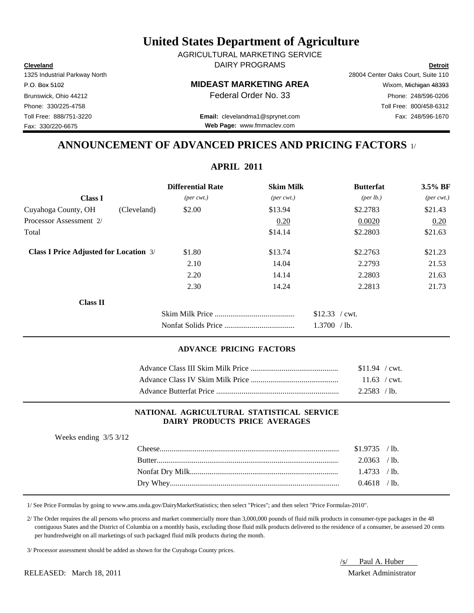**Cleveland Detroit** DAIRY PROGRAMS AGRICULTURAL MARKETING SERVICE

#### P.O. Box 5102 **MIDEAST MARKETING AREA** Wixom, Michigan 48393

1325 Industrial Parkway North 28004 Center Oaks Court, Suite 110 Brunswick, Ohio 44212 **Phone: 248/596-0206 Federal Order No. 33** Phone: 248/596-0206 Phone: 330/225-4758 Toll Free: 800/458-6312

Toll Free: 888/751-3220 Fax: 248/596-1670 **Email:** clevelandma1@sprynet.com **Web Page:** www.fmmaclev.com

## **ANNOUNCEMENT OF ADVANCED PRICES AND PRICING FACTORS** 1/

| <b>Differential Rate</b>    |                             | <b>Butterfat</b>     | 3.5% BF                     |
|-----------------------------|-----------------------------|----------------------|-----------------------------|
| $(\text{per} \text{ cwt.})$ | $(\text{per} \text{ cwt.})$ | ${\rm (per \, lb.)}$ | $(\text{per} \text{ cwt.})$ |
| \$2.00                      | \$13.94                     | \$2.2783             | \$21.43                     |
|                             | 0.20                        | 0.0020               | 0.20                        |
|                             | \$14.14                     | \$2.2803             | \$21.63                     |
| \$1.80                      | \$13.74                     | \$2.2763             | \$21.23                     |
| 2.10                        | 14.04                       | 2.2793               | 21.53                       |
| 2.20                        | 14.14                       | 2.2803               | 21.63                       |
| 2.30                        | 14.24                       | 2.2813               | 21.73                       |
|                             |                             |                      |                             |
|                             |                             | $$12.33$ / cwt.      |                             |
|                             |                             | 1.3700 / lb.         |                             |
|                             |                             |                      | <b>Skim Milk</b>            |

#### **ADVANCE PRICING FACTORS**

| $$11.94$ / cwt. |
|-----------------|
| $11.63$ / cwt.  |
| $2.2583$ / lb.  |

#### **NATIONAL AGRICULTURAL STATISTICAL SERVICE DAIRY PRODUCTS PRICE AVERAGES**

| Weeks ending $3/5$ 3/12 |                |  |
|-------------------------|----------------|--|
|                         | $$1.9735$ /lb. |  |
|                         | $2.0363$ /lb.  |  |
|                         | $1.4733$ / lb. |  |
|                         | $0.4618$ /lb.  |  |
|                         |                |  |

1/ See Price Formulas by going to www.ams.usda.gov/DairyMarketStatistics; then select "Prices"; and then select "Price Formulas-2010".

 2/ The Order requires the all persons who process and market commercially more than 3,000,000 pounds of fluid milk products in consumer-type packages in the 48 contiguous States and the District of Columbia on a monthly basis, excluding those fluid milk products delivered to the residence of a consumer, be assessed 20 cents per hundredweight on all marketings of such packaged fluid milk products during the month.

3/ Processor assessment should be added as shown for the Cuyahoga County prices.

/s/ Paul A. Huber

Fax: 330/220-6675

**APRIL 2011**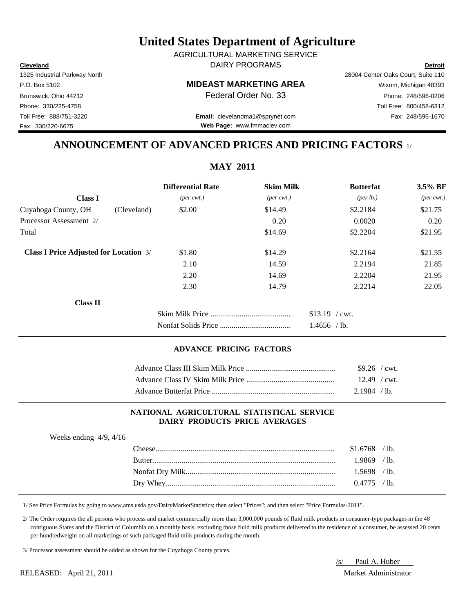RELEASED: April 21, 2011 Market Administrator

Fax: 330/220-6675

## **United States Department of Agriculture**

**Cleveland Detroit** DAIRY PROGRAMS AGRICULTURAL MARKETING SERVICE

P.O. Box 5102 **MIDEAST MARKETING AREA** Wixom, Michigan 48393

Toll Free: 888/751-3220 Fax: 248/596-1670 **Email:** clevelandma1@sprynet.com **Web Page:** www.fmmaclev.com

## **ANNOUNCEMENT OF ADVANCED PRICES AND PRICING FACTORS** 1/

|                                               |             | <b>Differential Rate</b>    | <b>Skim Milk</b>            | <b>Butterfat</b>     | 3.5% BF                     |
|-----------------------------------------------|-------------|-----------------------------|-----------------------------|----------------------|-----------------------------|
| <b>Class I</b>                                |             | $(\text{per} \text{ cwt.})$ | $(\text{per} \text{ cwt.})$ | ${\rm (per \, lb.)}$ | $(\text{per} \text{ cwt.})$ |
| Cuyahoga County, OH                           | (Cleveland) | \$2.00                      | \$14.49                     | \$2.2184             | \$21.75                     |
| Processor Assessment 2/                       |             |                             | 0.20                        | 0.0020               | 0.20                        |
| Total                                         |             |                             | \$14.69                     | \$2.2204             | \$21.95                     |
| <b>Class I Price Adjusted for Location 3/</b> |             | \$1.80                      | \$14.29                     | \$2.2164             | \$21.55                     |
|                                               |             | 2.10                        | 14.59                       | 2.2194               | 21.85                       |
|                                               |             | 2.20                        | 14.69                       | 2.2204               | 21.95                       |
|                                               |             | 2.30                        | 14.79                       | 2.2214               | 22.05                       |
| <b>Class II</b>                               |             |                             |                             |                      |                             |
|                                               |             |                             |                             | $$13.19$ / cwt.      |                             |
|                                               |             |                             |                             | $1.4656$ /lb.        |                             |
|                                               |             |                             |                             |                      |                             |

#### **ADVANCE PRICING FACTORS**

| $$9.26$ / cwt. |
|----------------|
| $12.49$ / cwt. |
| 2.1984 / lb.   |

#### **NATIONAL AGRICULTURAL STATISTICAL SERVICE DAIRY PRODUCTS PRICE AVERAGES**

| Weeks ending $4/9$ , $4/16$ |               |                |  |
|-----------------------------|---------------|----------------|--|
|                             |               | $$1.6768$ /lb. |  |
|                             | <b>Butter</b> | 1.9869 /lb.    |  |
|                             |               | $1.5698$ /lb.  |  |
|                             |               | $0.4775$ /lb.  |  |
|                             |               |                |  |

1/ See Price Formulas by going to www.ams.usda.gov/DairyMarketStatistics; then select "Prices"; and then select "Price Formulas-2011".

 2/ The Order requires the all persons who process and market commercially more than 3,000,000 pounds of fluid milk products in consumer-type packages in the 48 contiguous States and the District of Columbia on a monthly basis, excluding those fluid milk products delivered to the residence of a consumer, be assessed 20 cents per hundredweight on all marketings of such packaged fluid milk products during the month.

3/ Processor assessment should be added as shown for the Cuyahoga County prices.



## **MAY 2011**

1325 Industrial Parkway North 28004 Center Oaks Court, Suite 110 Brunswick, Ohio 44212 **Phone: 248/596-0206 Federal Order No. 33** Phone: 248/596-0206 Phone: 330/225-4758 Toll Free: 800/458-6312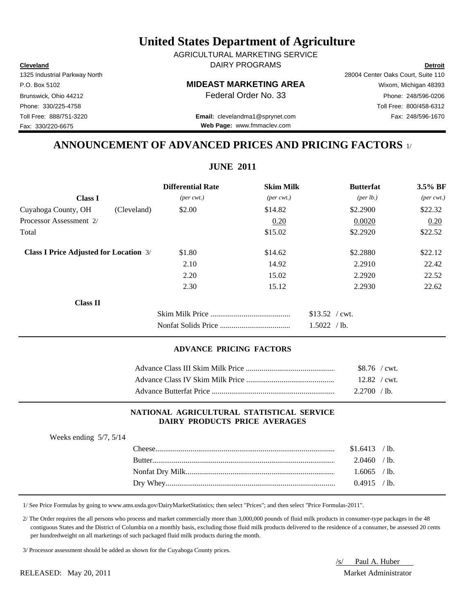**Cleveland Detroit** DAIRY PROGRAMS AGRICULTURAL MARKETING SERVICE

Fax: 330/220-6675

P.O. Box 5102 **MIDEAST MARKETING AREA** Wixom, Michigan 48393

Toll Free: 888/751-3220 Fax: 248/596-1670 **Email:** clevelandma1@sprynet.com **Web Page:** www.fmmaclev.com

1325 Industrial Parkway North 28004 Center Oaks Court, Suite 110 Brunswick, Ohio 44212 **Phone: 248/596-0206 Federal Order No. 33** Phone: 248/596-0206 Phone: 330/225-4758 Toll Free: 800/458-6312

## **ANNOUNCEMENT OF ADVANCED PRICES AND PRICING FACTORS** 1/

**JUNE 2011**

|                                               |             | <b>Differential Rate</b>    | <b>Skim Milk</b>            | <b>Butterfat</b>     | 3.5% BF                     |
|-----------------------------------------------|-------------|-----------------------------|-----------------------------|----------------------|-----------------------------|
| <b>Class I</b>                                |             | $(\text{per} \text{ cwt.})$ | $(\text{per} \text{ cwt.})$ | ${\rm (per \, lb.)}$ | $(\text{per} \text{ cwt.})$ |
| Cuyahoga County, OH                           | (Cleveland) | \$2.00                      | \$14.82                     | \$2.2900             | \$22.32                     |
| Processor Assessment 2/                       |             |                             | 0.20                        | 0.0020               | 0.20                        |
| Total                                         |             |                             | \$15.02                     | \$2.2920             | \$22.52                     |
| <b>Class I Price Adjusted for Location 3/</b> |             | \$1.80                      | \$14.62                     | \$2.2880             | \$22.12                     |
|                                               |             | 2.10                        | 14.92                       | 2.2910               | 22.42                       |
|                                               |             | 2.20                        | 15.02                       | 2.2920               | 22.52                       |
|                                               |             | 2.30                        | 15.12                       | 2.2930               | 22.62                       |
| <b>Class II</b>                               |             |                             |                             |                      |                             |
|                                               |             |                             |                             | $$13.52$ / cwt.      |                             |
|                                               |             |                             |                             | 1.5022 / lb.         |                             |
|                                               |             |                             |                             |                      |                             |

#### **ADVANCE PRICING FACTORS**

| \$8.76 / cwt.        |  |
|----------------------|--|
| $12.82 / \text{cwt}$ |  |
| 2.2700 / lb.         |  |

#### **NATIONAL AGRICULTURAL STATISTICAL SERVICE DAIRY PRODUCTS PRICE AVERAGES**

| Weeks ending $5/7$ , $5/14$ | $$1.6413$ /lb. |  |
|-----------------------------|----------------|--|
|                             | $2.0460$ /lb.  |  |
|                             | $1.6065$ /lb.  |  |
|                             | $0.4915$ /lb.  |  |

1/ See Price Formulas by going to www.ams.usda.gov/DairyMarketStatistics; then select "Prices"; and then select "Price Formulas-2011".

 2/ The Order requires the all persons who process and market commercially more than 3,000,000 pounds of fluid milk products in consumer-type packages in the 48 contiguous States and the District of Columbia on a monthly basis, excluding those fluid milk products delivered to the residence of a consumer, be assessed 20 cents per hundredweight on all marketings of such packaged fluid milk products during the month.

3/ Processor assessment should be added as shown for the Cuyahoga County prices.

/s/ Paul A. Huber

RELEASED: May 20, 2011 Market Administrator

# **United States Department of Agriculture**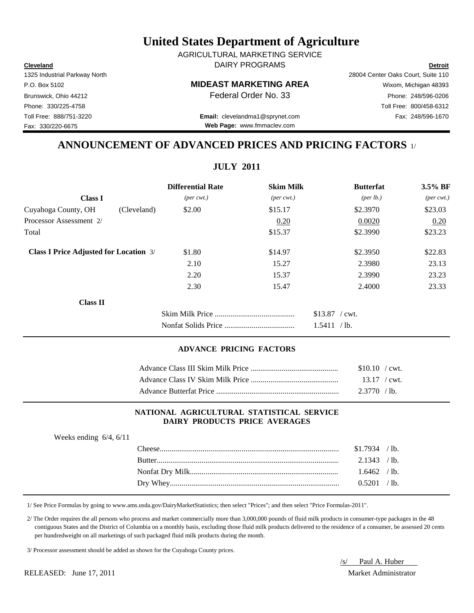**Cleveland Detroit** DAIRY PROGRAMS AGRICULTURAL MARKETING SERVICE

Fax: 330/220-6675

# P.O. Box 5102 **MIDEAST MARKETING AREA** Wixom, Michigan 48393

Toll Free: 888/751-3220 Fax: 248/596-1670 **Email:** clevelandma1@sprynet.com **Web Page:** www.fmmaclev.com

1325 Industrial Parkway North 28004 Center Oaks Court, Suite 110 Brunswick, Ohio 44212 **Phone: 248/596-0206 Federal Order No. 33** Phone: 248/596-0206 Phone: 330/225-4758 Toll Free: 800/458-6312

## **ANNOUNCEMENT OF ADVANCED PRICES AND PRICING FACTORS** 1/

**JULY 2011**

|                                               |             | <b>Differential Rate</b>    | <b>Skim Milk</b>            | <b>Butterfat</b>     | $3.5\%$ BF                  |
|-----------------------------------------------|-------------|-----------------------------|-----------------------------|----------------------|-----------------------------|
| <b>Class I</b>                                |             | $(\text{per} \text{ cwt.})$ | $(\text{per} \text{ cwt.})$ | ${\rm (per \, lb.)}$ | $(\text{per} \text{ cwt.})$ |
| Cuyahoga County, OH                           | (Cleveland) | \$2.00                      | \$15.17                     | \$2.3970             | \$23.03                     |
| Processor Assessment 2/                       |             |                             | 0.20                        | 0.0020               | 0.20                        |
| Total                                         |             |                             | \$15.37                     | \$2.3990             | \$23.23                     |
| <b>Class I Price Adjusted for Location 3/</b> |             | \$1.80                      | \$14.97                     | \$2.3950             | \$22.83                     |
|                                               |             | 2.10                        | 15.27                       | 2.3980               | 23.13                       |
|                                               |             | 2.20                        | 15.37                       | 2.3990               | 23.23                       |
|                                               |             | 2.30                        | 15.47                       | 2.4000               | 23.33                       |
| <b>Class II</b>                               |             |                             |                             |                      |                             |
|                                               |             |                             |                             | $$13.87$ / cwt.      |                             |
|                                               |             |                             |                             | 1.5411 / lb.         |                             |

#### **ADVANCE PRICING FACTORS**

| $$10.10 / \text{cwt}$ . |  |
|-------------------------|--|
| $13.17$ / cwt.          |  |
| $2.3770$ /lb.           |  |

#### **NATIONAL AGRICULTURAL STATISTICAL SERVICE DAIRY PRODUCTS PRICE AVERAGES**

| Weeks ending $6/4$ , $6/11$ |                |  |
|-----------------------------|----------------|--|
|                             | $$1.7934$ /lb. |  |
|                             | $2.1343$ /lb.  |  |
|                             | $1.6462$ /lb.  |  |
|                             | 0.5201 / h     |  |
|                             |                |  |

1/ See Price Formulas by going to www.ams.usda.gov/DairyMarketStatistics; then select "Prices"; and then select "Price Formulas-2011".

 2/ The Order requires the all persons who process and market commercially more than 3,000,000 pounds of fluid milk products in consumer-type packages in the 48 contiguous States and the District of Columbia on a monthly basis, excluding those fluid milk products delivered to the residence of a consumer, be assessed 20 cents per hundredweight on all marketings of such packaged fluid milk products during the month.

3/ Processor assessment should be added as shown for the Cuyahoga County prices.

/s/ Paul A. Huber

RELEASED: June 17, 2011 2011 2012 12:30 Market Administrator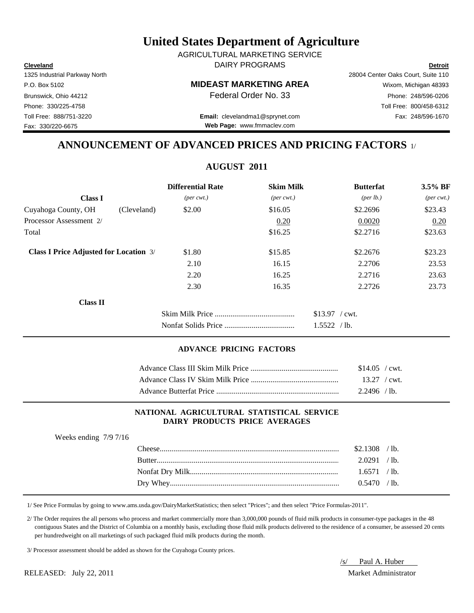**Cleveland Detroit** DAIRY PROGRAMS AGRICULTURAL MARKETING SERVICE

Fax: 330/220-6675

P.O. Box 5102 **MIDEAST MARKETING AREA** Wixom, Michigan 48393

Toll Free: 888/751-3220 Fax: 248/596-1670 **Email:** clevelandma1@sprynet.com **Web Page:** www.fmmaclev.com

1325 Industrial Parkway North 28004 Center Oaks Court, Suite 110 Brunswick, Ohio 44212 **Phone: 248/596-0206 Federal Order No. 33** Phone: 248/596-0206 Phone: 330/225-4758 Toll Free: 800/458-6312

## **ANNOUNCEMENT OF ADVANCED PRICES AND PRICING FACTORS** 1/

|                                               |             | <b>Differential Rate</b>    | <b>Skim Milk</b>            | <b>Butterfat</b>                | 3.5% BF                     |
|-----------------------------------------------|-------------|-----------------------------|-----------------------------|---------------------------------|-----------------------------|
| <b>Class I</b>                                |             | $(\text{per} \text{ cwt.})$ | $(\text{per} \text{ cwt.})$ | ${\rm (per \, lb.)}$            | $(\text{per} \text{ cwt.})$ |
| Cuyahoga County, OH                           | (Cleveland) | \$2.00                      | \$16.05                     | \$2.2696                        | \$23.43                     |
| Processor Assessment 2/                       |             |                             | 0.20                        | 0.0020                          | 0.20                        |
| Total                                         |             |                             | \$16.25                     | \$2.2716                        | \$23.63                     |
| <b>Class I Price Adjusted for Location 3/</b> |             | \$1.80                      | \$15.85                     | \$2.2676                        | \$23.23                     |
|                                               |             | 2.10                        | 16.15                       | 2.2706                          | 23.53                       |
|                                               |             | 2.20                        | 16.25                       | 2.2716                          | 23.63                       |
|                                               |             | 2.30                        | 16.35                       | 2.2726                          | 23.73                       |
| <b>Class II</b>                               |             |                             |                             |                                 |                             |
|                                               |             |                             |                             | $$13.97$ / cwt.<br>1.5522 / lb. |                             |
|                                               |             |                             |                             |                                 |                             |

#### **ADVANCE PRICING FACTORS**

| $$14.05$ / cwt. |  |
|-----------------|--|
| $13.27$ / cwt.  |  |
| $2.2496$ /lb.   |  |

#### **NATIONAL AGRICULTURAL STATISTICAL SERVICE DAIRY PRODUCTS PRICE AVERAGES**

| Weeks ending $7/9$ 7/16 |                |  |
|-------------------------|----------------|--|
|                         | $$2.1308$ /lb. |  |
|                         | $2.0291$ /lb.  |  |
|                         | 1.6571 / h     |  |
|                         | 0.5470 / h     |  |
|                         |                |  |

1/ See Price Formulas by going to www.ams.usda.gov/DairyMarketStatistics; then select "Prices"; and then select "Price Formulas-2011".

 2/ The Order requires the all persons who process and market commercially more than 3,000,000 pounds of fluid milk products in consumer-type packages in the 48 contiguous States and the District of Columbia on a monthly basis, excluding those fluid milk products delivered to the residence of a consumer, be assessed 20 cents per hundredweight on all marketings of such packaged fluid milk products during the month.

3/ Processor assessment should be added as shown for the Cuyahoga County prices.

RELEASED: July 22, 2011 Market Administrator

/s/ Paul A. Huber

**AUGUST 2011**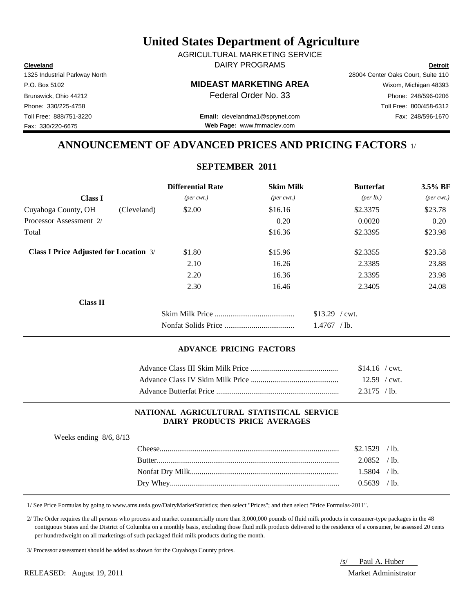**Cleveland Detroit** DAIRY PROGRAMS AGRICULTURAL MARKETING SERVICE

Fax: 330/220-6675

P.O. Box 5102 **MIDEAST MARKETING AREA** Wixom, Michigan 48393

Toll Free: 888/751-3220 Fax: 248/596-1670 **Email:** clevelandma1@sprynet.com **Web Page:** www.fmmaclev.com

1325 Industrial Parkway North 28004 Center Oaks Court, Suite 110 Brunswick, Ohio 44212 **Phone: 248/596-0206 Federal Order No. 33** Phone: 248/596-0206 Phone: 330/225-4758 Toll Free: 800/458-6312

## **ANNOUNCEMENT OF ADVANCED PRICES AND PRICING FACTORS** 1/

### **SEPTEMBER 2011**

|                                               | <b>Differential Rate</b>    | <b>Skim Milk</b>            | <b>Butterfat</b>                 | 3.5% BF                     |
|-----------------------------------------------|-----------------------------|-----------------------------|----------------------------------|-----------------------------|
| <b>Class I</b>                                | $(\text{per} \text{ cwt.})$ | $(\text{per} \text{ cwt.})$ | ${\rm (per \, lb.)}$             | $(\text{per} \text{ cwt.})$ |
| Cuyahoga County, OH                           | \$2.00<br>(Cleveland)       | \$16.16                     | \$2.3375                         | \$23.78                     |
| Processor Assessment 2/                       |                             | 0.20                        | 0.0020                           | 0.20                        |
| Total                                         |                             | \$16.36                     | \$2.3395                         | \$23.98                     |
| <b>Class I Price Adjusted for Location 3/</b> | \$1.80                      | \$15.96                     | \$2.3355                         | \$23.58                     |
|                                               | 2.10                        | 16.26                       | 2.3385                           | 23.88                       |
|                                               | 2.20                        | 16.36                       | 2.3395                           | 23.98                       |
|                                               | 2.30                        | 16.46                       | 2.3405                           | 24.08                       |
| <b>Class II</b>                               |                             |                             |                                  |                             |
|                                               |                             |                             | $$13.29$ / cwt.<br>$1.4767$ /lb. |                             |

#### **ADVANCE PRICING FACTORS**

| $$14.16$ / cwt. |  |
|-----------------|--|
| $12.59$ / cwt.  |  |
| $2.3175$ / lb.  |  |

#### **NATIONAL AGRICULTURAL STATISTICAL SERVICE DAIRY PRODUCTS PRICE AVERAGES**

| Weeks ending $8/6$ , $8/13$ |                |  |
|-----------------------------|----------------|--|
|                             | $$2.1529$ /lb. |  |
|                             | $2.0852$ /lb.  |  |
|                             | $1.5804$ /lb.  |  |
|                             | $0.5639$ /lb.  |  |
|                             |                |  |

1/ See Price Formulas by going to www.ams.usda.gov/DairyMarketStatistics; then select "Prices"; and then select "Price Formulas-2011".

 2/ The Order requires the all persons who process and market commercially more than 3,000,000 pounds of fluid milk products in consumer-type packages in the 48 contiguous States and the District of Columbia on a monthly basis, excluding those fluid milk products delivered to the residence of a consumer, be assessed 20 cents per hundredweight on all marketings of such packaged fluid milk products during the month.

3/ Processor assessment should be added as shown for the Cuyahoga County prices.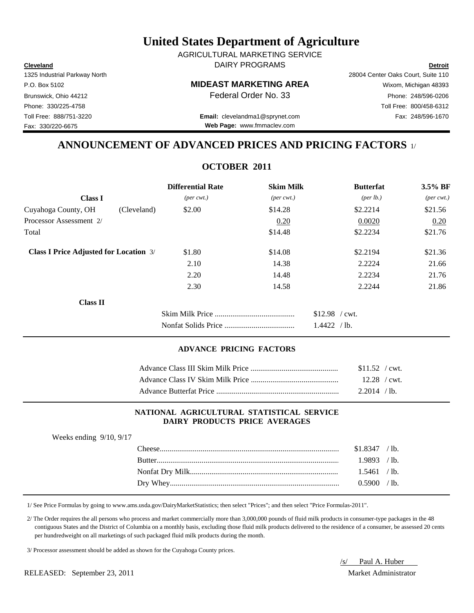**Cleveland Detroit** DAIRY PROGRAMS AGRICULTURAL MARKETING SERVICE

Fax: 330/220-6675

P.O. Box 5102 **MIDEAST MARKETING AREA** Wixom, Michigan 48393

Toll Free: 888/751-3220 Fax: 248/596-1670 **Email:** clevelandma1@sprynet.com **Web Page:** www.fmmaclev.com

1325 Industrial Parkway North 28004 Center Oaks Court, Suite 110 Brunswick, Ohio 44212 **Phone: 248/596-0206 Federal Order No. 33** Phone: 248/596-0206 Phone: 330/225-4758 Toll Free: 800/458-6312

## **ANNOUNCEMENT OF ADVANCED PRICES AND PRICING FACTORS** 1/

## **OCTOBER 2011**

|                                               | <b>Differential Rate</b>    | <b>Skim Milk</b>            | <b>Butterfat</b>     | 3.5% BF                     |
|-----------------------------------------------|-----------------------------|-----------------------------|----------------------|-----------------------------|
| <b>Class I</b>                                | $(\text{per} \text{ cwt.})$ | $(\text{per} \text{ cwt.})$ | ${\rm (per \, lb.)}$ | $(\text{per} \text{ cwt.})$ |
| Cuyahoga County, OH                           | \$2.00<br>(Cleveland)       | \$14.28                     | \$2.2214             | \$21.56                     |
| Processor Assessment 2/                       |                             | 0.20                        | 0.0020               | 0.20                        |
| Total                                         |                             | \$14.48                     | \$2.2234             | \$21.76                     |
| <b>Class I Price Adjusted for Location 3/</b> | \$1.80                      | \$14.08                     | \$2.2194             | \$21.36                     |
|                                               | 2.10                        | 14.38                       | 2.2224               | 21.66                       |
|                                               | 2.20                        | 14.48                       | 2.2234               | 21.76                       |
|                                               | 2.30                        | 14.58                       | 2.2244               | 21.86                       |
| <b>Class II</b>                               |                             |                             |                      |                             |
|                                               |                             |                             | $$12.98$ / cwt.      |                             |
|                                               |                             |                             | 1.4422 / lb.         |                             |

#### **ADVANCE PRICING FACTORS**

| $$11.52$ / cwt. |  |
|-----------------|--|
| $12.28$ / cwt.  |  |
| $2.2014$ /lb.   |  |

#### **NATIONAL AGRICULTURAL STATISTICAL SERVICE DAIRY PRODUCTS PRICE AVERAGES**

| Weeks ending $9/10$ , $9/17$ |                  |                |  |
|------------------------------|------------------|----------------|--|
|                              | $\text{Cheese}.$ | $$1.8347$ /lb. |  |
|                              |                  | 1.9893 / lb.   |  |
|                              |                  | 1.5461 / lb.   |  |
|                              |                  | 0.5900 / h     |  |
|                              |                  |                |  |

1/ See Price Formulas by going to www.ams.usda.gov/DairyMarketStatistics; then select "Prices"; and then select "Price Formulas-2011".

 2/ The Order requires the all persons who process and market commercially more than 3,000,000 pounds of fluid milk products in consumer-type packages in the 48 contiguous States and the District of Columbia on a monthly basis, excluding those fluid milk products delivered to the residence of a consumer, be assessed 20 cents per hundredweight on all marketings of such packaged fluid milk products during the month.

3/ Processor assessment should be added as shown for the Cuyahoga County prices.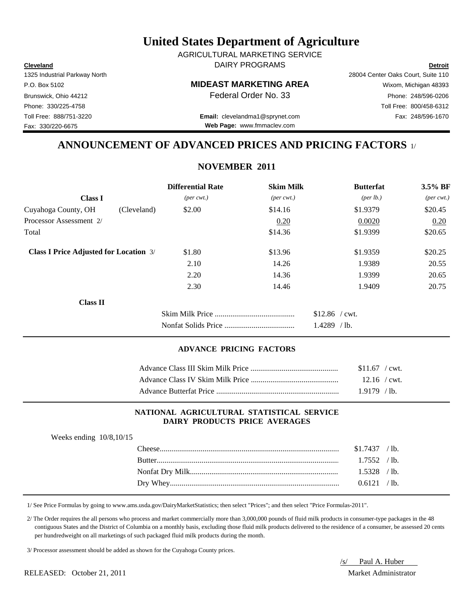**Cleveland Detroit** DAIRY PROGRAMS AGRICULTURAL MARKETING SERVICE

Fax: 330/220-6675

P.O. Box 5102 **MIDEAST MARKETING AREA** Wixom, Michigan 48393

Toll Free: 888/751-3220 Fax: 248/596-1670 **Email:** clevelandma1@sprynet.com **Web Page:** www.fmmaclev.com

1325 Industrial Parkway North 28004 Center Oaks Court, Suite 110 Brunswick, Ohio 44212 **Phone: 248/596-0206 Federal Order No. 33** Phone: 248/596-0206 Phone: 330/225-4758 Toll Free: 800/458-6312

## **ANNOUNCEMENT OF ADVANCED PRICES AND PRICING FACTORS** 1/

## **NOVEMBER 2011**

| <b>Differential Rate</b>    |                             | <b>Butterfat</b>                     | $3.5\%$ BF                  |
|-----------------------------|-----------------------------|--------------------------------------|-----------------------------|
| $(\text{per} \text{ cwt.})$ | $(\text{per} \text{ cwt.})$ | ${\rm (per \, lb.)}$                 | $(\text{per} \text{ cwt.})$ |
| \$2.00                      | \$14.16                     | \$1.9379                             | \$20.45                     |
|                             | 0.20                        | 0.0020                               | 0.20                        |
|                             | \$14.36                     | \$1.9399                             | \$20.65                     |
| \$1.80                      | \$13.96                     | \$1.9359                             | \$20.25                     |
| 2.10                        | 14.26                       | 1.9389                               | 20.55                       |
| 2.20                        | 14.36                       | 1.9399                               | 20.65                       |
| 2.30                        | 14.46                       | 1.9409                               | 20.75                       |
|                             |                             |                                      |                             |
|                             |                             | $$12.86$ / cwt.<br>1.4289<br>$/1b$ . |                             |
|                             |                             |                                      | <b>Skim Milk</b>            |

#### **ADVANCE PRICING FACTORS**

| $$11.67$ / cwt. |  |
|-----------------|--|
| $12.16$ / cwt.  |  |
| $1.9179$ /lb.   |  |

#### **NATIONAL AGRICULTURAL STATISTICAL SERVICE DAIRY PRODUCTS PRICE AVERAGES**

| Weeks ending $10/8$ , $10/15$ |                  |                 |  |
|-------------------------------|------------------|-----------------|--|
|                               | $\text{Cheese}.$ | $$1.7437$ / lb. |  |
|                               |                  |                 |  |
|                               |                  | $1.5328$ /lb.   |  |
|                               |                  | 0.6121 / lb.    |  |
|                               |                  |                 |  |

1/ See Price Formulas by going to www.ams.usda.gov/DairyMarketStatistics; then select "Prices"; and then select "Price Formulas-2011".

 2/ The Order requires the all persons who process and market commercially more than 3,000,000 pounds of fluid milk products in consumer-type packages in the 48 contiguous States and the District of Columbia on a monthly basis, excluding those fluid milk products delivered to the residence of a consumer, be assessed 20 cents per hundredweight on all marketings of such packaged fluid milk products during the month.

3/ Processor assessment should be added as shown for the Cuyahoga County prices.